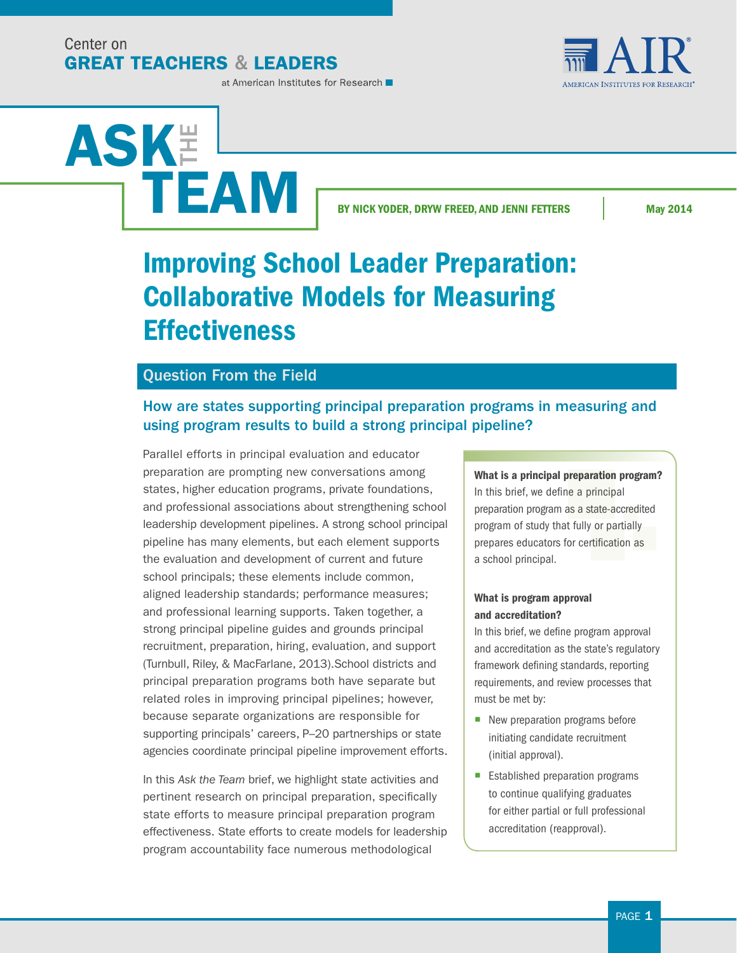Center on **GREAT TEACHERS & LEADERS** 



#### at American Institutes for Research

# ASK**E** TEAM

BY NICK YODER, DRYW FREED, AND JENNI FETTERS May 2014

## Improving School Leader Preparation: Collaborative Models for Measuring **Effectiveness**

## Question From the Field

## How are states supporting principal preparation programs in measuring and using program results to build a strong principal pipeline?

Parallel efforts in principal evaluation and educator preparation are prompting new conversations among states, higher education programs, private foundations, and professional associations about strengthening school leadership development pipelines. A strong school principal pipeline has many elements, but each element supports the evaluation and development of current and future school principals; these elements include common, aligned leadership standards; performance measures; and professional learning supports. Taken together, a strong principal pipeline guides and grounds principal recruitment, preparation, hiring, evaluation, and support (Turnbull, Riley, & MacFarlane, 2013).School districts and principal preparation programs both have separate but related roles in improving principal pipelines; however, because separate organizations are responsible for supporting principals' careers, P–20 partnerships or state agencies coordinate principal pipeline improvement efforts.

In this *Ask the Team* brief, we highlight state activities and pertinent research on principal preparation, specifically state efforts to measure principal preparation program effectiveness. State efforts to create models for leadership program accountability face numerous methodological

## What is a principal preparation program?

In this brief, we define a principal preparation program as a state-accredited program of study that fully or partially prepares educators for certification as a school principal.

## What is program approval and accreditation?

In this brief, we define program approval and accreditation as the state's regulatory framework defining standards, reporting requirements, and review processes that must be met by:

- New preparation programs before initiating candidate recruitment (initial approval).
- Established preparation programs to continue qualifying graduates for either partial or full professional accreditation (reapproval).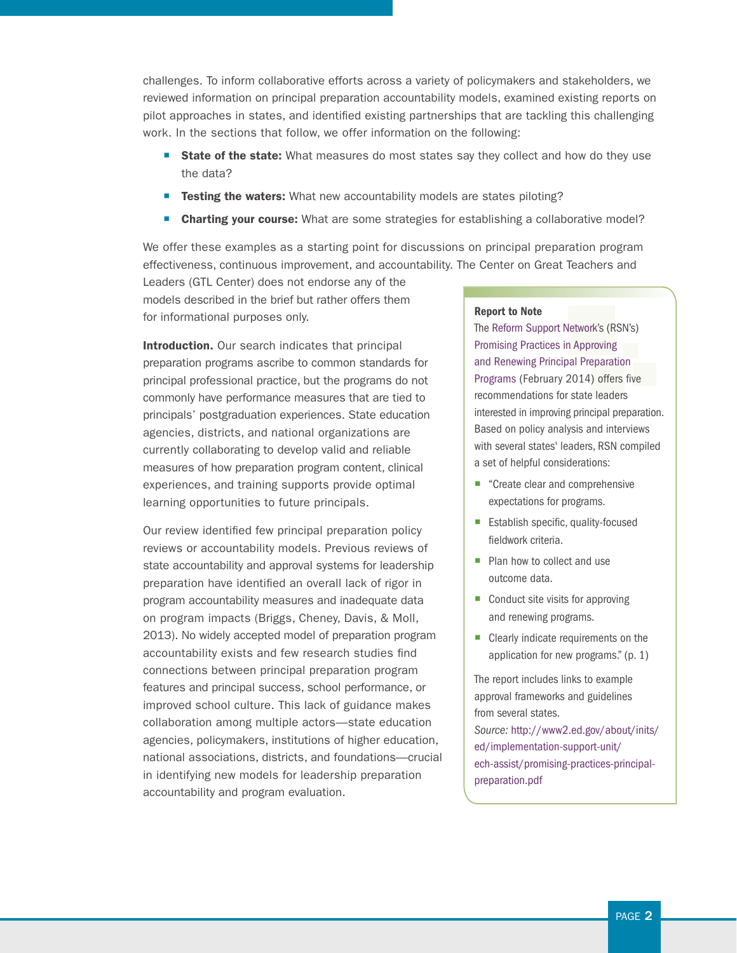challenges. To inform collaborative efforts across a variety of policymakers and stakeholders, we reviewed information on principal preparation accountability models, examined existing reports on pilot approaches in states, and identified existing partnerships that are tackling this challenging work. In the sections that follow, we offer information on the following:

- **State of the state:** What measures do most states say they collect and how do they use the data?
- **Exting the waters:** What new accountability models are states piloting?
- **Charting your course:** What are some strategies for establishing a collaborative model?

We offer these examples as a starting point for discussions on principal preparation program effectiveness, continuous improvement, and accountability. The Center on Great Teachers and

Leaders (GTL Center) does not endorse any of the models described in the brief but rather offers them for informational purposes only.

Introduction. Our search indicates that principal preparation programs ascribe to common standards for principal professional practice, but the programs do not commonly have performance measures that are tied to principals' postgraduation experiences. State education agencies, districts, and national organizations are currently collaborating to develop valid and reliable measures of how preparation program content, clinical experiences, and training supports provide optimal learning opportunities to future principals.

Our review identified few principal preparation policy reviews or accountability models. Previous reviews of state accountability and approval systems for leadership preparation have identified an overall lack of rigor in program accountability measures and inadequate data on program impacts (Briggs, Cheney, Davis, & Moll, 2013). No widely accepted model of preparation program accountability exists and few research studies find connections between principal preparation program features and principal success, school performance, or improved school culture. This lack of guidance makes collaboration among multiple actors—state education agencies, policymakers, institutions of higher education, national associations, districts, and foundations—crucial in identifying new models for leadership preparation accountability and program evaluation.

#### Report to Note

The [Reform Support Network](http://www.icfi.com/insights/projects/families-and-communities/reform-support-network)'s (RSN's) [Promising Practices in Approving](http://www2.ed.gov/about/inits/ed/implementation-support-unit/tech-assist/promising-practices-principal-preparation.pdf)  [and Renewing Principal Preparation](http://www2.ed.gov/about/inits/ed/implementation-support-unit/tech-assist/promising-practices-principal-preparation.pdf)  [Programs](http://www2.ed.gov/about/inits/ed/implementation-support-unit/tech-assist/promising-practices-principal-preparation.pdf) (February 2014) offers five recommendations for state leaders interested in improving principal preparation. Based on policy analysis and interviews with several states' leaders, RSN compiled a set of helpful considerations:

- "Create clear and comprehensive expectations for programs.
- Establish specific, quality-focused fieldwork criteria.
- Plan how to collect and use outcome data.
- Conduct site visits for approving and renewing programs.
- $\blacksquare$  Clearly indicate requirements on the application for new programs." (p. 1)

The report includes links to example approval frameworks and guidelines from several states. *Source:* [http://www2.ed.gov/about/inits/](http://www2.ed.gov/about/inits/ed/implementation-support-unit/tech-assist/promising-practices-principal-preparation.pdf) [ed/implementation-support-unit/](http://www2.ed.gov/about/inits/ed/implementation-support-unit/tech-assist/promising-practices-principal-preparation.pdf) [ech-assist/promising-practices-principal](http://www2.ed.gov/about/inits/ed/implementation-support-unit/tech-assist/promising-practices-principal-preparation.pdf)[preparation.pdf](http://www2.ed.gov/about/inits/ed/implementation-support-unit/tech-assist/promising-practices-principal-preparation.pdf)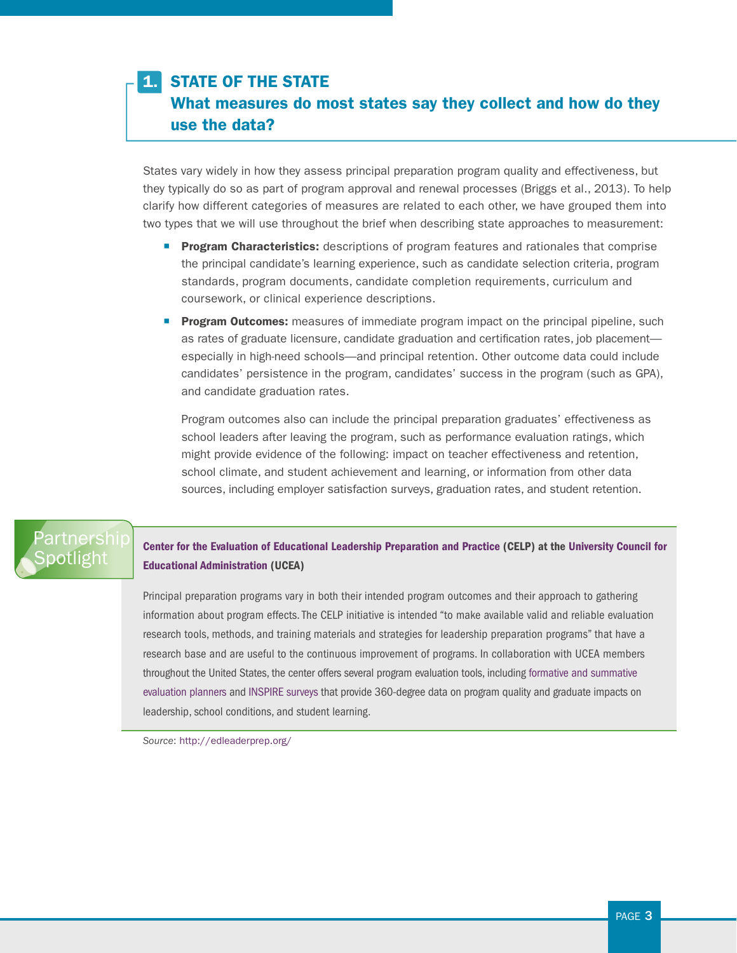## 1. STATE OF THE STATE

What measures do most states say they collect and how do they use the data?

States vary widely in how they assess principal preparation program quality and effectiveness, but they typically do so as part of program approval and renewal processes (Briggs et al., 2013). To help clarify how different categories of measures are related to each other, we have grouped them into two types that we will use throughout the brief when describing state approaches to measurement:

- **Program Characteristics:** descriptions of program features and rationales that comprise the principal candidate's learning experience, such as candidate selection criteria, program standards, program documents, candidate completion requirements, curriculum and coursework, or clinical experience descriptions.
- **Program Outcomes:** measures of immediate program impact on the principal pipeline, such as rates of graduate licensure, candidate graduation and certification rates, job placement especially in high-need schools—and principal retention. Other outcome data could include candidates' persistence in the program, candidates' success in the program (such as GPA), and candidate graduation rates.

Program outcomes also can include the principal preparation graduates' effectiveness as school leaders after leaving the program, such as performance evaluation ratings, which might provide evidence of the following: impact on teacher effectiveness and retention, school climate, and student achievement and learning, or information from other data sources, including employer satisfaction surveys, graduation rates, and student retention.

## Partnership **Spotlight**

[Center for the Evaluation of Educational Leadership Preparation and Practice](http://edleaderprep.org/) (CELP) at the [University Council for](http://www.ucea.org)  [Educational Administration](http://www.ucea.org) (UCEA)

Principal preparation programs vary in both their intended program outcomes and their approach to gathering information about program effects. The CELP initiative is intended "to make available valid and reliable evaluation research tools, methods, and training materials and strategies for leadership preparation programs" that have a research base and are useful to the continuous improvement of programs. In collaboration with UCEA members throughout the United States, the center offers several program evaluation tools, including [formative and summative](http://edleaderprep.org/storage/Developing%20Evaluation%20Evidence%202013.pdf)  [evaluation planner](http://edleaderprep.org/storage/Developing%20Evaluation%20Evidence%202013.pdf)s and [INSPIRE surveys](http://edleaderprepucea.squarespace.com/evaluation-surveys/) that provide 360-degree data on program quality and graduate impacts on leadership, school conditions, and student learning.

*Source*:<http://edleaderprep.org/>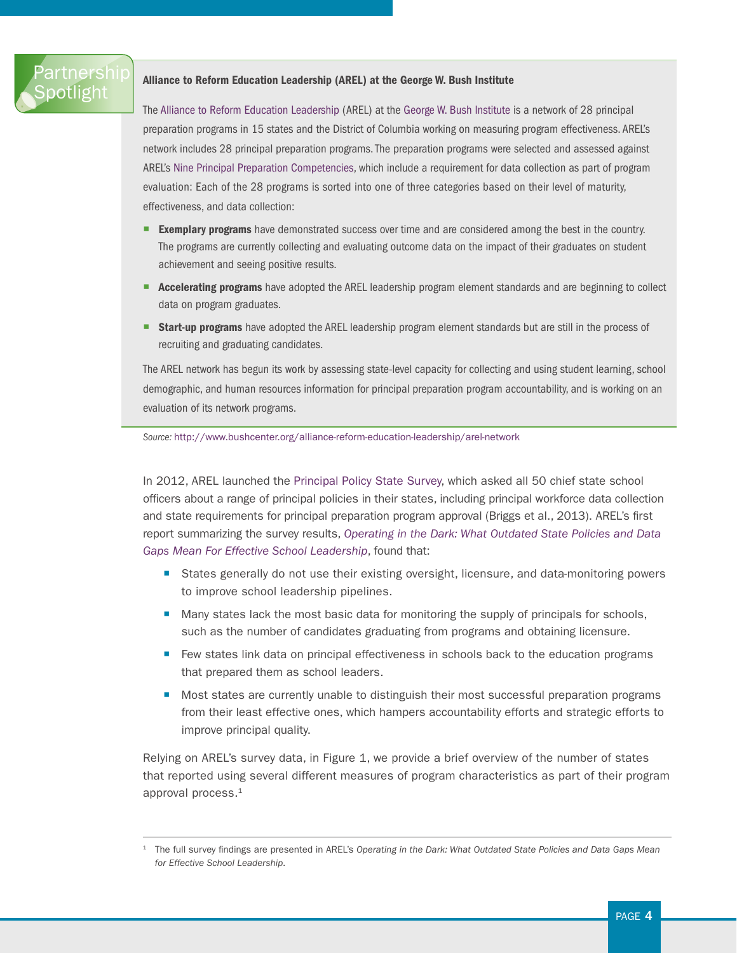## Partnership **Spotlight**

#### Alliance to Reform Education Leadership (AREL) at the George W. Bush Institute

The [Alliance to Reform Education Leadership](http://www.bushcenter.org/alliance-reform-education-leadership/arel-network) (AREL) at the [George W. Bush Institute](http://www.bushcenter.org/george-w-bush-institute) is a network of 28 principal preparation programs in 15 states and the District of Columbia working on measuring program effectiveness. AREL's network includes 28 principal preparation programs. The preparation programs were selected and assessed against AREL's [Nine Principal Preparation Competencies,](http://www.bushcenter.org/sites/default/files/ninecompetencies.pdf) which include a requirement for data collection as part of program evaluation: Each of the 28 programs is sorted into one of three categories based on their level of maturity, effectiveness, and data collection:

- **Exemplary programs** have demonstrated success over time and are considered among the best in the country. The programs are currently collecting and evaluating outcome data on the impact of their graduates on student achievement and seeing positive results.
- **EXECTE Accelerating programs** have adopted the AREL leadership program element standards and are beginning to collect data on program graduates.
- **Start-up programs** have adopted the AREL leadership program element standards but are still in the process of recruiting and graduating candidates.

The AREL network has begun its work by assessing state-level capacity for collecting and using student learning, school demographic, and human resources information for principal preparation program accountability, and is working on an evaluation of its network programs.

*Source:* <http://www.bushcenter.org/alliance-reform-education-leadership/arel-network>

In 2012, AREL launched the [Principal Policy State Survey](http://www.bushcenter.org/alliance-reform-education-leadership/arel-state-policy-project), which asked all 50 chief state school officers about a range of principal policies in their states, including principal workforce data collection and state requirements for principal preparation program approval (Briggs et al., 2013). AREL's first report summarizing the survey results, *[Operating in the Dark: What Outdated State Policies and Data](http://www.bushcenter.org/sites/default/files/GWBI-Op_inthe_Dark_ExSum_v17_web.pdf.pdf)  [Gaps Mean For Effective School Leadership](http://www.bushcenter.org/sites/default/files/GWBI-Op_inthe_Dark_ExSum_v17_web.pdf.pdf)*, found that:

- States generally do not use their existing oversight, licensure, and data-monitoring powers to improve school leadership pipelines.
- Many states lack the most basic data for monitoring the supply of principals for schools, such as the number of candidates graduating from programs and obtaining licensure.
- Few states link data on principal effectiveness in schools back to the education programs that prepared them as school leaders.
- Most states are currently unable to distinguish their most successful preparation programs from their least effective ones, which hampers accountability efforts and strategic efforts to improve principal quality.

Relying on AREL's survey data, in Figure 1, we provide a brief overview of the number of states that reported using several different measures of program characteristics as part of their program approval process.<sup>1</sup>

<sup>1</sup> The full survey findings are presented in AREL's *Operating in the Dark: What Outdated State Policies and Data Gaps Mean for Effective School Leadership.*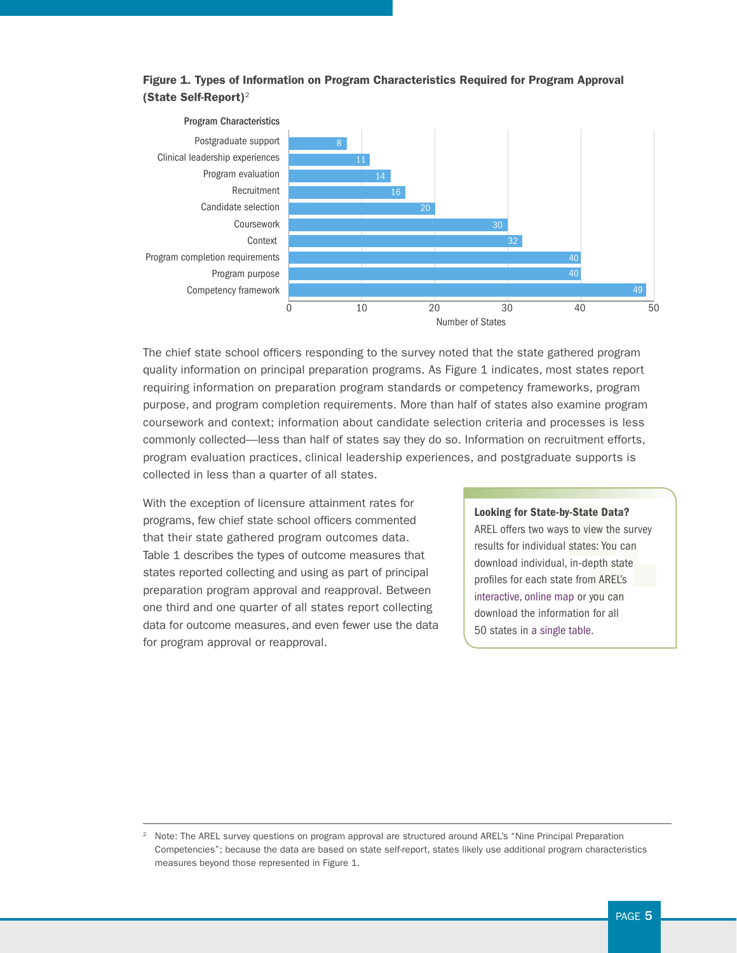

## Figure 1. Types of Information on Program Characteristics Required for Program Approval (State Self-Report)<sup>2</sup>

The chief state school officers responding to the survey noted that the state gathered program quality information on principal preparation programs. As Figure 1 indicates, most states report requiring information on preparation program standards or competency frameworks, program purpose, and program completion requirements. More than half of states also examine program coursework and context; information about candidate selection criteria and processes is less commonly collected—less than half of states say they do so. Information on recruitment efforts, program evaluation practices, clinical leadership experiences, and postgraduate supports is collected in less than a quarter of all states.

With the exception of licensure attainment rates for programs, few chief state school officers commented that their state gathered program outcomes data. Table 1 describes the types of outcome measures that states reported collecting and using as part of principal preparation program approval and reapproval. Between one third and one quarter of all states report collecting data for outcome measures, and even fewer use the data for program approval or reapproval.

#### Looking for State-by-State Data?

AREL offers two ways to view the survey results for individual states: You can download individual, in-depth state profiles for each state from AREL's [interactive, online map](http://www.bushcenter.org/alliance-reform-education-leadership/arel-state-policy-project) or you can download the information for all 50 states in [a single table](http://www.bushcenter.org/sites/default/files/2012%20Principal%20Policy%20State%20Snapshot%20Data.xlsx).

<sup>2</sup> Note: The AREL survey questions on program approval are structured around AREL's "Nine Principal Preparation Competencies"; because the data are based on state self-report, states likely use additional program characteristics measures beyond those represented in Figure 1.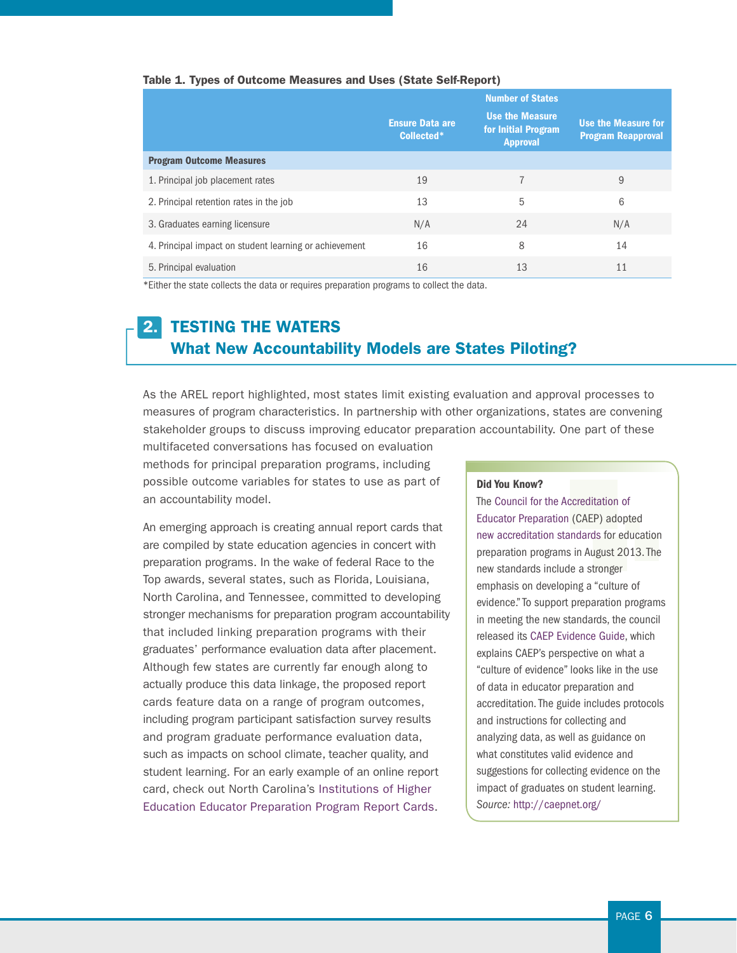#### Table 1. Types of Outcome Measures and Uses (State Self-Report)

|                                                        |                                      | <b>Number of States</b>                                          |                                                  |
|--------------------------------------------------------|--------------------------------------|------------------------------------------------------------------|--------------------------------------------------|
|                                                        | <b>Ensure Data are</b><br>Collected* | <b>Use the Measure</b><br>for Initial Program<br><b>Approval</b> | Use the Measure for<br><b>Program Reapproval</b> |
| <b>Program Outcome Measures</b>                        |                                      |                                                                  |                                                  |
| 1. Principal job placement rates                       | 19                                   |                                                                  | 9                                                |
| 2. Principal retention rates in the job                | 13                                   | 5                                                                | 6                                                |
| 3. Graduates earning licensure                         | N/A                                  | 24                                                               | N/A                                              |
| 4. Principal impact on student learning or achievement | 16                                   | 8                                                                | 14                                               |
| 5. Principal evaluation                                | 16                                   | 13                                                               | 11                                               |

\*Either the state collects the data or requires preparation programs to collect the data.

## 2. TESTING THE WATERS What New Accountability Models are States Piloting?

As the AREL report highlighted, most states limit existing evaluation and approval processes to measures of program characteristics. In partnership with other organizations, states are convening stakeholder groups to discuss improving educator preparation accountability. One part of these

multifaceted conversations has focused on evaluation methods for principal preparation programs, including possible outcome variables for states to use as part of an accountability model.

An emerging approach is creating annual report cards that are compiled by state education agencies in concert with preparation programs. In the wake of federal Race to the Top awards, several states, such as Florida, Louisiana, North Carolina, and Tennessee, committed to developing stronger mechanisms for preparation program accountability that included linking preparation programs with their graduates' performance evaluation data after placement. Although few states are currently far enough along to actually produce this data linkage, the proposed report cards feature data on a range of program outcomes, including program participant satisfaction survey results and program graduate performance evaluation data, such as impacts on school climate, teacher quality, and student learning. For an early example of an online report card, check out North Carolina's [Institutions of Higher](http://apps.schools.nc.gov/pls/apex/f?p=141:1:0:::::)  [Education Educator Preparation Program Report Cards.](http://apps.schools.nc.gov/pls/apex/f?p=141:1:0:::::)

#### Did You Know?

The [Council for the Accreditation of](http://caepnet.org/)  [Educator Preparation](http://caepnet.org/) (CAEP) adopted [new accreditation standards](http://caepnet.files.wordpress.com/2013/09/final_board_approved1.pdf) for education preparation programs in August 2013. The new standards include a stronger emphasis on developing a "culture of evidence." To support preparation programs in meeting the new standards, the council released its [CAEP Evidence Guide](http://caepnet.files.wordpress.com/2014/02/caep_evidence_guide1.pdf), which explains CAEP's perspective on what a "culture of evidence" looks like in the use of data in educator preparation and accreditation. The guide includes protocols and instructions for collecting and analyzing data, as well as guidance on what constitutes valid evidence and suggestions for collecting evidence on the impact of graduates on student learning. *Source:* <http://caepnet.org/>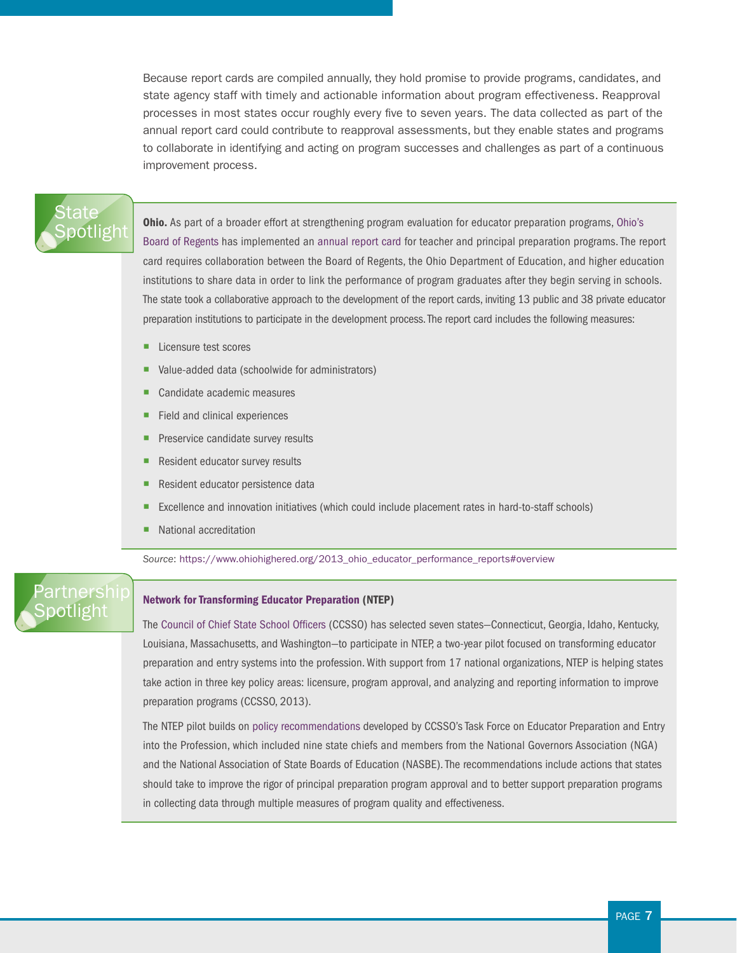Because report cards are compiled annually, they hold promise to provide programs, candidates, and state agency staff with timely and actionable information about program effectiveness. Reapproval processes in most states occur roughly every five to seven years. The data collected as part of the annual report card could contribute to reapproval assessments, but they enable states and programs to collaborate in identifying and acting on program successes and challenges as part of a continuous improvement process.

## State [Spotlight](https://www.ohiohighered.org/2013_ohio_educator_performance_reports#overview)

**Ohio.** As part of a broader effort at strengthening program evaluation for educator preparation programs, Ohio's [Board of Regents](https://www.ohiohighered.org/sites/ohiohighered.org/files/uploads/education-prep/documents/OhioPreparationMetrics_Aug2012.pdf) has implemented an [annual report card](https://www.ohiohighered.org/2013_ohio_educator_performance_reports#overview) for teacher and principal preparation programs. The report card requires collaboration between the Board of Regents, the Ohio Department of Education, and higher education institutions to share data in order to link the performance of program graduates after they begin serving in schools. The state took a collaborative approach to the development of the report cards, inviting 13 public and 38 private educator preparation institutions to participate in the development process. The report card includes the following measures:

- Licensure test scores
- Value-added data (schoolwide for administrators)
- Candidate academic measures
- Field and clinical experiences
- Preservice candidate survey results
- Resident educator survey results
- Resident educator persistence data
- Excellence and innovation initiatives (which could include placement rates in hard-to-staff schools)
- National accreditation

*Source*: [https://www.ohiohighered.org/2013\\_ohio\\_educator\\_performance\\_reports#overview](https://www.ohiohighered.org/2013_ohio_educator_performance_reports#overview)

## artnershir **Spotlight**

#### [Network for Transforming Educator Preparation](http://www.ccsso.org/News_and_Events/Press_Releases/Seven_States_Selected_to_Join_Network_for_Transforming_Educator_Preparation.html) (NTEP)

The [Council of Chief State School Officers](http://www.ccsso.org) (CCSSO) has selected seven states—Connecticut, Georgia, Idaho, Kentucky, Louisiana, Massachusetts, and Washington—to participate in NTEP, a two-year pilot focused on transforming educator preparation and entry systems into the profession. With support from 17 national organizations, NTEP is helping states take action in three key policy areas: licensure, program approval, and analyzing and reporting information to improve preparation programs (CCSSO, 2013).

The NTEP pilot builds on [policy recommendations](http://www.ccsso.org/Documents/2012/Our%20Responsibility%20Our%20Promise_2012.pdf) developed by CCSSO's Task Force on Educator Preparation and Entry into the Profession, which included nine state chiefs and members from the National Governors Association (NGA) and the National Association of State Boards of Education (NASBE). The recommendations include actions that states should take to improve the rigor of principal preparation program approval and to better support preparation programs in collecting data through multiple measures of program quality and effectiveness.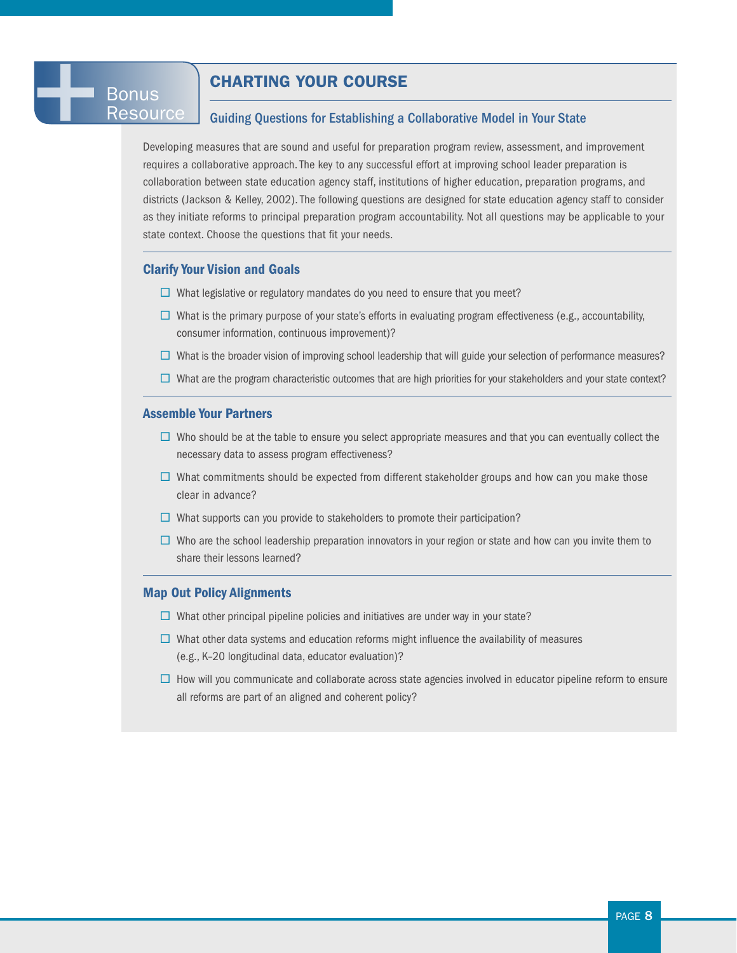## CHARTING YOUR COURSE

## Guiding Questions for Establishing a Collaborative Model in Your State

Developing measures that are sound and useful for preparation program review, assessment, and improvement requires a collaborative approach. The key to any successful effort at improving school leader preparation is collaboration between state education agency staff, institutions of higher education, preparation programs, and districts (Jackson & Kelley, 2002). The following questions are designed for state education agency staff to consider as they initiate reforms to principal preparation program accountability. Not all questions may be applicable to your state context. Choose the questions that fit your needs.

#### Clarify Your Vision and Goals

- $\Box$  What legislative or regulatory mandates do you need to ensure that you meet?
- $\square$  What is the primary purpose of your state's efforts in evaluating program effectiveness (e.g., accountability, consumer information, continuous improvement)?
- $\square$  What is the broader vision of improving school leadership that will guide your selection of performance measures?
- $\Box$  What are the program characteristic outcomes that are high priorities for your stakeholders and your state context?

## Assemble Your Partners

- $\Box$  Who should be at the table to ensure you select appropriate measures and that you can eventually collect the necessary data to assess program effectiveness?
- $\Box$  What commitments should be expected from different stakeholder groups and how can you make those clear in advance?
- $\Box$  What supports can you provide to stakeholders to promote their participation?
- $\square$  Who are the school leadership preparation innovators in your region or state and how can you invite them to share their lessons learned?

#### Map Out Policy Alignments

- $\Box$  What other principal pipeline policies and initiatives are under way in your state?
- $\square$  What other data systems and education reforms might influence the availability of measures (e.g., K–20 longitudinal data, educator evaluation)?
- $\Box$  How will you communicate and collaborate across state agencies involved in educator pipeline reform to ensure all reforms are part of an aligned and coherent policy?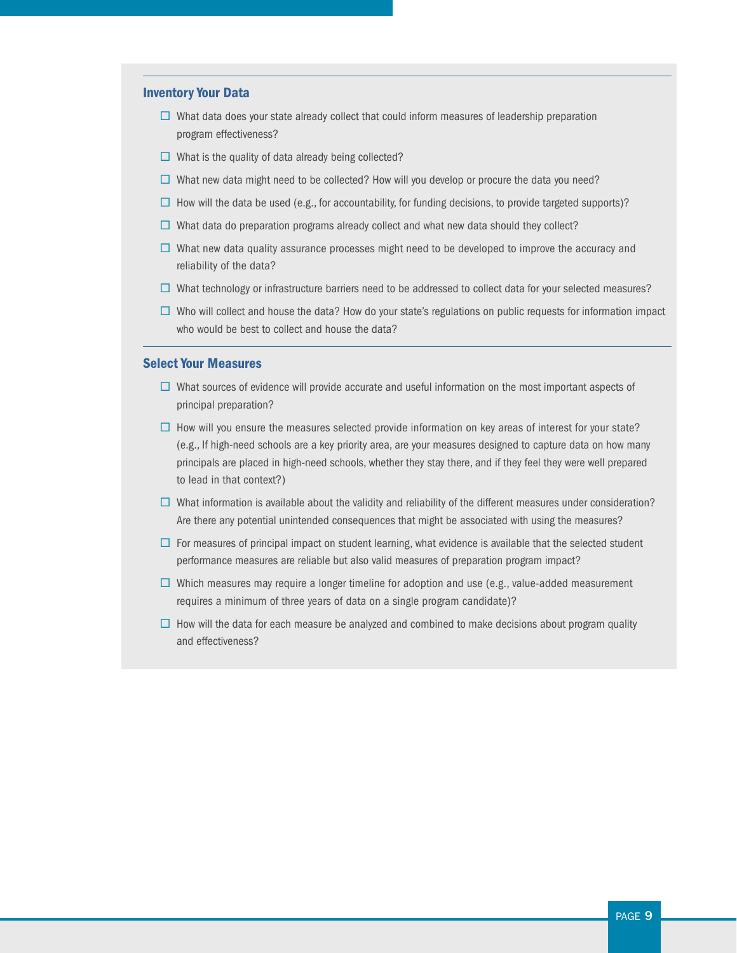#### Inventory Your Data

- $\square$  What data does your state already collect that could inform measures of leadership preparation program effectiveness?
- $\Box$  What is the quality of data already being collected?
- $\square$  What new data might need to be collected? How will you develop or procure the data you need?
- $\Box$  How will the data be used (e.g., for accountability, for funding decisions, to provide targeted supports)?
- $\Box$  What data do preparation programs already collect and what new data should they collect?
- $\Box$  What new data quality assurance processes might need to be developed to improve the accuracy and reliability of the data?
- $\Box$  What technology or infrastructure barriers need to be addressed to collect data for your selected measures?
- $\square$  Who will collect and house the data? How do your state's regulations on public requests for information impact who would be best to collect and house the data?

### Select Your Measures

- $\square$  What sources of evidence will provide accurate and useful information on the most important aspects of principal preparation?
- $\Box$  How will you ensure the measures selected provide information on key areas of interest for your state? (e.g., If high-need schools are a key priority area, are your measures designed to capture data on how many principals are placed in high-need schools, whether they stay there, and if they feel they were well prepared to lead in that context?)
- $\Box$  What information is available about the validity and reliability of the different measures under consideration? Are there any potential unintended consequences that might be associated with using the measures?
- $\Box$  For measures of principal impact on student learning, what evidence is available that the selected student performance measures are reliable but also valid measures of preparation program impact?
- $\square$  Which measures may require a longer timeline for adoption and use (e.g., value-added measurement requires a minimum of three years of data on a single program candidate)?
- $\Box$  How will the data for each measure be analyzed and combined to make decisions about program quality and effectiveness?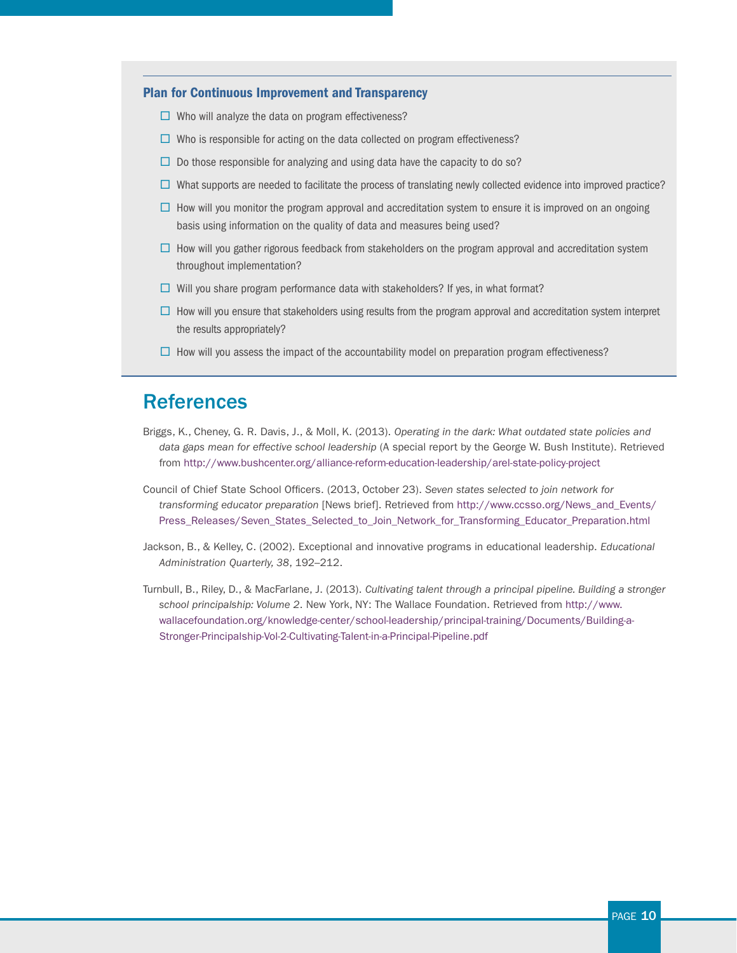## Plan for Continuous Improvement and Transparency

- $\square$  Who will analyze the data on program effectiveness?
- $\Box$  Who is responsible for acting on the data collected on program effectiveness?
- $\Box$  Do those responsible for analyzing and using data have the capacity to do so?
- $\Box$  What supports are needed to facilitate the process of translating newly collected evidence into improved practice?
- $\Box$  How will you monitor the program approval and accreditation system to ensure it is improved on an ongoing basis using information on the quality of data and measures being used?
- $\Box$  How will you gather rigorous feedback from stakeholders on the program approval and accreditation system throughout implementation?
- $\Box$  Will you share program performance data with stakeholders? If yes, in what format?
- $\Box$  How will you ensure that stakeholders using results from the program approval and accreditation system interpret the results appropriately?
- $\square$  How will you assess the impact of the accountability model on preparation program effectiveness?

## **References**

- Briggs, K., Cheney, G. R. Davis, J., & Moll, K. (2013). *Operating in the dark: What outdated state policies and data gaps mean for effective school leadership* (A special report by the George W. Bush Institute). Retrieved from <http://www.bushcenter.org/alliance-reform-education-leadership/arel-state-policy-project>
- Council of Chief State School Officers. (2013, October 23). *Seven states selected to join network for transforming educator preparation* [News brief]. Retrieved from [http://www.ccsso.org/News\\_and\\_Events/](http://www.ccsso.org/News_and_Events/Press_Releases/Seven_States_Selected_to_Join_Network_for_Transforming_Educator_Preparation.html) [Press\\_Releases/Seven\\_States\\_Selected\\_to\\_Join\\_Network\\_for\\_Transforming\\_Educator\\_Preparation.html](http://www.ccsso.org/News_and_Events/Press_Releases/Seven_States_Selected_to_Join_Network_for_Transforming_Educator_Preparation.html)
- Jackson, B., & Kelley, C. (2002). Exceptional and innovative programs in educational leadership. *Educational Administration Quarterly, 38*, 192–212.
- Turnbull, B., Riley, D., & MacFarlane, J. (2013). *Cultivating talent through a principal pipeline. Building a stronger school principalship: Volume 2*. New York, NY: The Wallace Foundation. Retrieved from [http://www.](http://www.wallacefoundation.org/knowledge-center/school-leadership/principal-training/Documents/Building-a-Stronger-Principalship-Vol-2-Cultivating-Talent-in-a-Principal-Pipeline.pdf) [wallacefoundation.org/knowledge-center/school-leadership/principal-training/Documents/Building-a-](http://www.wallacefoundation.org/knowledge-center/school-leadership/principal-training/Documents/Building-a-Stronger-Principalship-Vol-2-Cultivating-Talent-in-a-Principal-Pipeline.pdf)[Stronger-Principalship-Vol-2-Cultivating-Talent-in-a-Principal-Pipeline.pdf](http://www.wallacefoundation.org/knowledge-center/school-leadership/principal-training/Documents/Building-a-Stronger-Principalship-Vol-2-Cultivating-Talent-in-a-Principal-Pipeline.pdf)